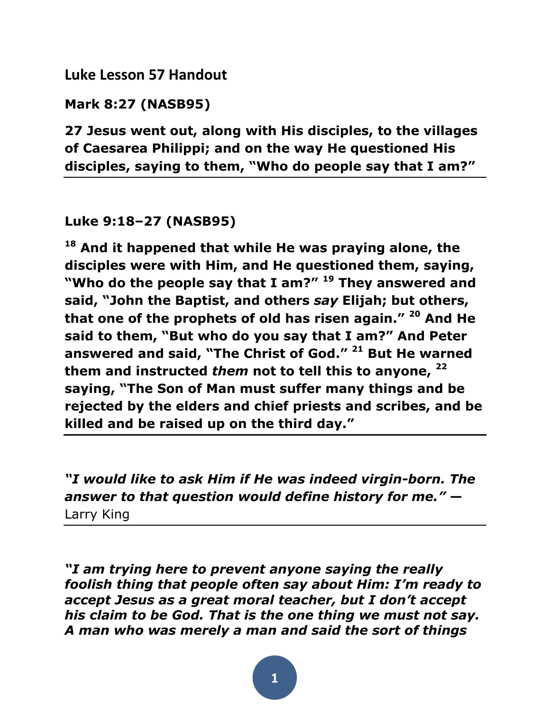## **Luke Lesson 57 Handout**

**Mark 8:27 (NASB95)**

**27 Jesus went out, along with His disciples, to the villages of Caesarea Philippi; and on the way He questioned His disciples, saying to them, "Who do people say that I am?"**

## **Luke 9:18–27 (NASB95)**

**<sup>18</sup> And it happened that while He was praying alone, the disciples were with Him, and He questioned them, saying, "Who do the people say that I am?" <sup>19</sup> They answered and said, "John the Baptist, and others** *say* **Elijah; but others, that one of the prophets of old has risen again." <sup>20</sup> And He said to them, "But who do you say that I am?" And Peter answered and said, "The Christ of God." <sup>21</sup> But He warned them and instructed** *them* **not to tell this to anyone, <sup>22</sup> saying, "The Son of Man must suffer many things and be rejected by the elders and chief priests and scribes, and be killed and be raised up on the third day."** 

*"I would like to ask Him if He was indeed virgin-born. The answer to that question would define history for me."* **—** Larry King

*"I am trying here to prevent anyone saying the really foolish thing that people often say about Him: I'm ready to accept Jesus as a great moral teacher, but I don't accept his claim to be God. That is the one thing we must not say. A man who was merely a man and said the sort of things* 

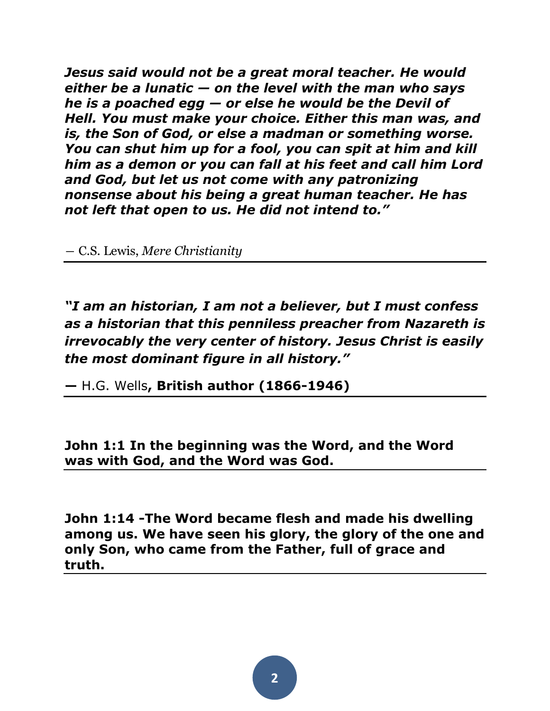*Jesus said would not be a great moral teacher. He would either be a lunatic — on the level with the man who says he is a poached egg — or else he would be the Devil of Hell. You must make your choice. Either this man was, and is, the Son of God, or else a madman or something worse. You can shut him up for a fool, you can spit at him and kill him as a demon or you can fall at his feet and call him Lord and God, but let us not come with any patronizing nonsense about his being a great human teacher. He has not left that open to us. He did not intend to."* 

― [C.S. Lewis,](http://www.goodreads.com/author/show/1069006.C_S_Lewis) *[Mere Christianity](http://www.goodreads.com/work/quotes/801500)*

*"I am an historian, I am not a believer, but I must confess as a historian that this penniless preacher from Nazareth is irrevocably the very center of history. Jesus Christ is easily the most dominant figure in all history."* 

**—** H.G. Wells**, British author (1866-1946)**

**John 1:1 In the beginning was the Word, and the Word was with God, and the Word was God.**

**John 1:14 -The Word became flesh and made his dwelling among us. We have seen his glory, the glory of the one and only Son, who came from the Father, full of grace and truth.**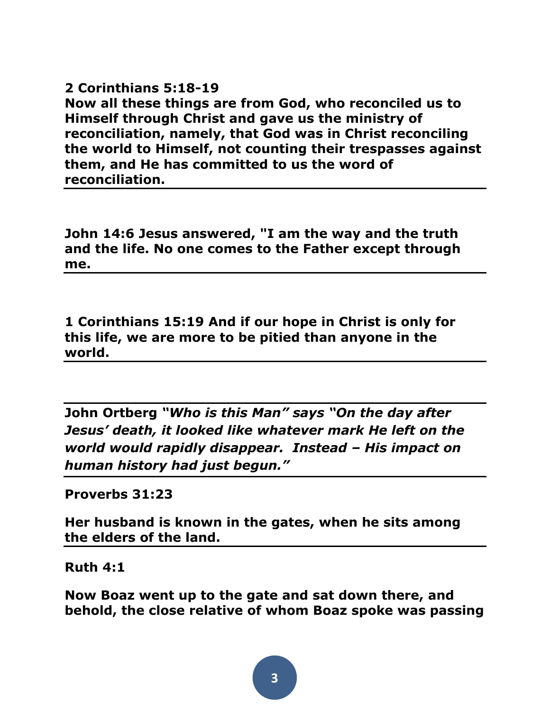**2 Corinthians 5:18-19 Now all these things are from God, who reconciled us to Himself through Christ and gave us the ministry of reconciliation, namely, that God was in Christ reconciling the world to Himself, not counting their trespasses against them, and He has committed to us the word of reconciliation.**

**John 14:6 Jesus answered, "I am the way and the truth and the life. No one comes to the Father except through me.**

**1 Corinthians 15:19 And if our hope in Christ is only for this life, we are more to be pitied than anyone in the world.**

**John Ortberg** *"Who is this Man" says "On the day after Jesus' death, it looked like whatever mark He left on the world would rapidly disappear. Instead – His impact on human history had just begun."*

**Proverbs 31:23** 

**Her husband is known in the gates, when he sits among the elders of the land.**

**Ruth 4:1** 

**Now Boaz went up to the gate and sat down there, and behold, the close relative of whom Boaz spoke was passing**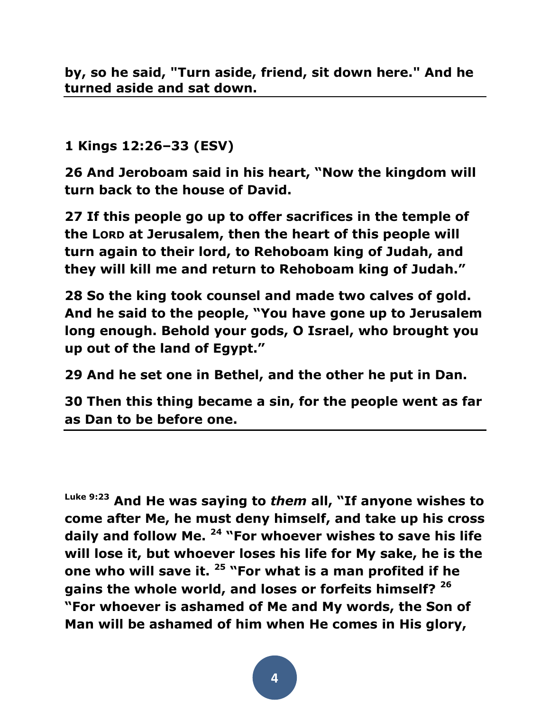**1 Kings 12:26–33 (ESV)**

**26 And Jeroboam said in his heart, "Now the kingdom will turn back to the house of David.** 

**27 If this people go up to offer sacrifices in the temple of the LORD at Jerusalem, then the heart of this people will turn again to their lord, to Rehoboam king of Judah, and they will kill me and return to Rehoboam king of Judah."** 

**28 So the king took counsel and made two calves of gold. And he said to the people, "You have gone up to Jerusalem long enough. Behold your gods, O Israel, who brought you up out of the land of Egypt."** 

**29 And he set one in Bethel, and the other he put in Dan.** 

**30 Then this thing became a sin, for the people went as far as Dan to be before one.** 

**Luke 9:23 And He was saying to** *them* **all, "If anyone wishes to come after Me, he must deny himself, and take up his cross daily and follow Me. <sup>24</sup> "For whoever wishes to save his life will lose it, but whoever loses his life for My sake, he is the one who will save it. <sup>25</sup> "For what is a man profited if he gains the whole world, and loses or forfeits himself? <sup>26</sup> "For whoever is ashamed of Me and My words, the Son of Man will be ashamed of him when He comes in His glory,**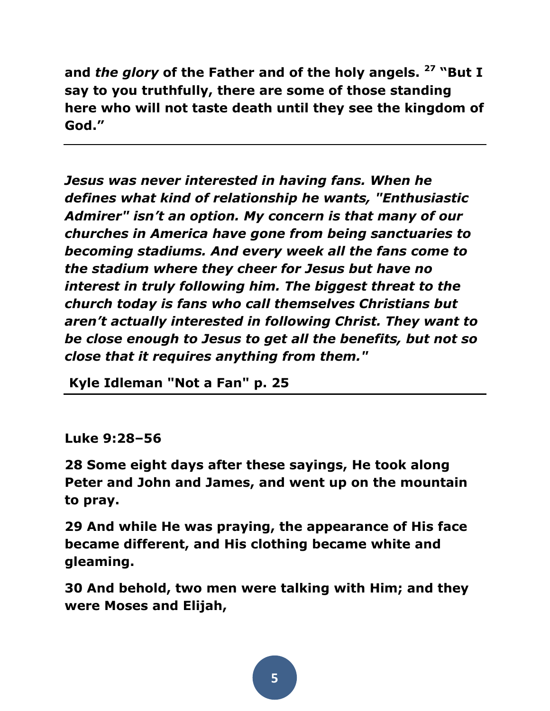**and** *the glory* **of the Father and of the holy angels. <sup>27</sup> "But I say to you truthfully, there are some of those standing here who will not taste death until they see the kingdom of God."** 

*Jesus was never interested in having fans. When he defines what kind of relationship he wants, "Enthusiastic Admirer" isn't an option. My concern is that many of our churches in America have gone from being sanctuaries to becoming stadiums. And every week all the fans come to the stadium where they cheer for Jesus but have no interest in truly following him. The biggest threat to the church today is fans who call themselves Christians but aren't actually interested in following Christ. They want to be close enough to Jesus to get all the benefits, but not so close that it requires anything from them."*

**Kyle Idleman "Not a Fan" p. 25**

**Luke 9:28–56**

**28 Some eight days after these sayings, He took along Peter and John and James, and went up on the mountain to pray.** 

**29 And while He was praying, the appearance of His face became different, and His clothing became white and gleaming.** 

**30 And behold, two men were talking with Him; and they were Moses and Elijah,**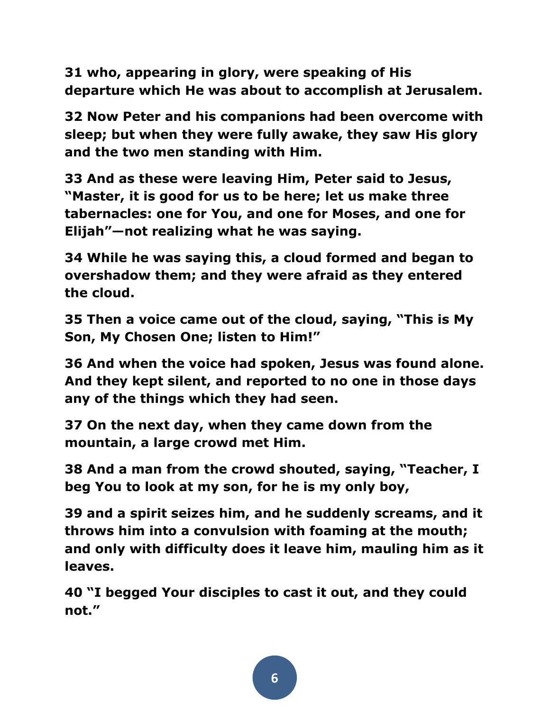**31 who, appearing in glory, were speaking of His departure which He was about to accomplish at Jerusalem.** 

**32 Now Peter and his companions had been overcome with sleep; but when they were fully awake, they saw His glory and the two men standing with Him.** 

**33 And as these were leaving Him, Peter said to Jesus, "Master, it is good for us to be here; let us make three tabernacles: one for You, and one for Moses, and one for Elijah"—not realizing what he was saying.** 

**34 While he was saying this, a cloud formed and began to overshadow them; and they were afraid as they entered the cloud.** 

**35 Then a voice came out of the cloud, saying, "This is My Son, My Chosen One; listen to Him!"** 

**36 And when the voice had spoken, Jesus was found alone. And they kept silent, and reported to no one in those days any of the things which they had seen.** 

**37 On the next day, when they came down from the mountain, a large crowd met Him.** 

**38 And a man from the crowd shouted, saying, "Teacher, I beg You to look at my son, for he is my only boy,** 

**39 and a spirit seizes him, and he suddenly screams, and it throws him into a convulsion with foaming at the mouth; and only with difficulty does it leave him, mauling him as it leaves.** 

**40 "I begged Your disciples to cast it out, and they could not."**